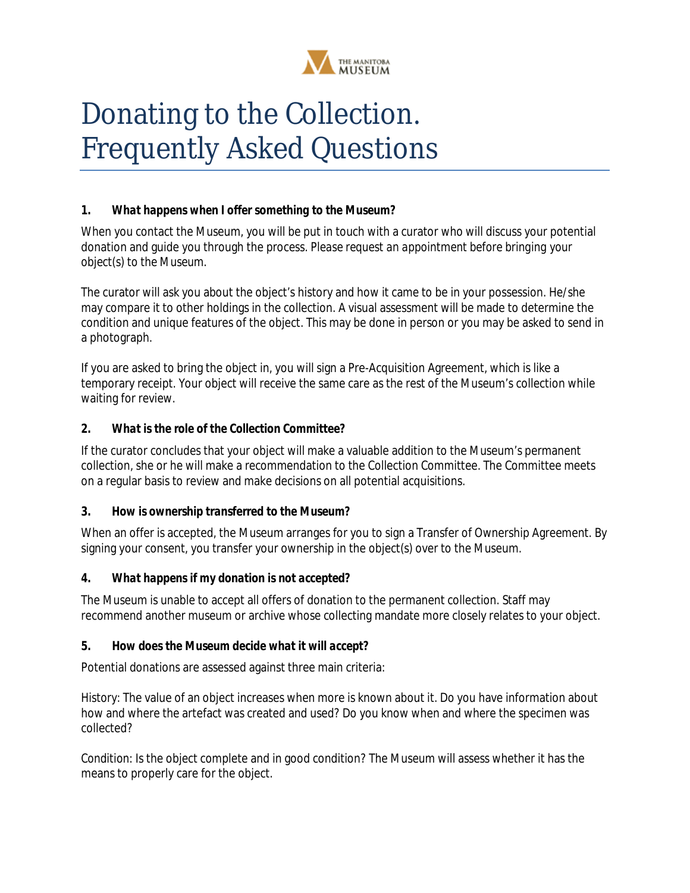

# Donating to the Collection. Frequently Asked Questions

#### *1. What happens when I offer something to the Museum?*

When you contact the Museum, you will be put in touch with a curator who will discuss your potential donation and guide you through the process. *Please request an appointment before bringing your object(s) to the Museum.*

The curator will ask you about the object's history and how it came to be in your possession. He/she may compare it to other holdings in the collection. A visual assessment will be made to determine the condition and unique features of the object. This may be done in person or you may be asked to send in a photograph.

If you are asked to bring the object in, you will sign a Pre-Acquisition Agreement, which is like a temporary receipt. Your object will receive the same care as the rest of the Museum's collection while waiting for review.

#### *2. What is the role of the Collection Committee?*

If the curator concludes that your object will make a valuable addition to the Museum's permanent collection, she or he will make a recommendation to the Collection Committee. The Committee meets on a regular basis to review and make decisions on all potential acquisitions.

#### *3. How is ownership transferred to the Museum?*

When an offer is accepted, the Museum arranges for you to sign a Transfer of Ownership Agreement. By signing your consent, you transfer your ownership in the object(s) over to the Museum.

#### *4. What happens if my donation is not accepted?*

The Museum is unable to accept all offers of donation to the permanent collection. Staff may recommend another museum or archive whose collecting mandate more closely relates to your object.

#### *5. How does the Museum decide what it will accept?*

Potential donations are assessed against three main criteria:

*History:* The value of an object increases when more is known about it. Do you have information about how and where the artefact was created and used? Do you know when and where the specimen was collected?

*Condition:* Is the object complete and in good condition? The Museum will assess whether it has the means to properly care for the object.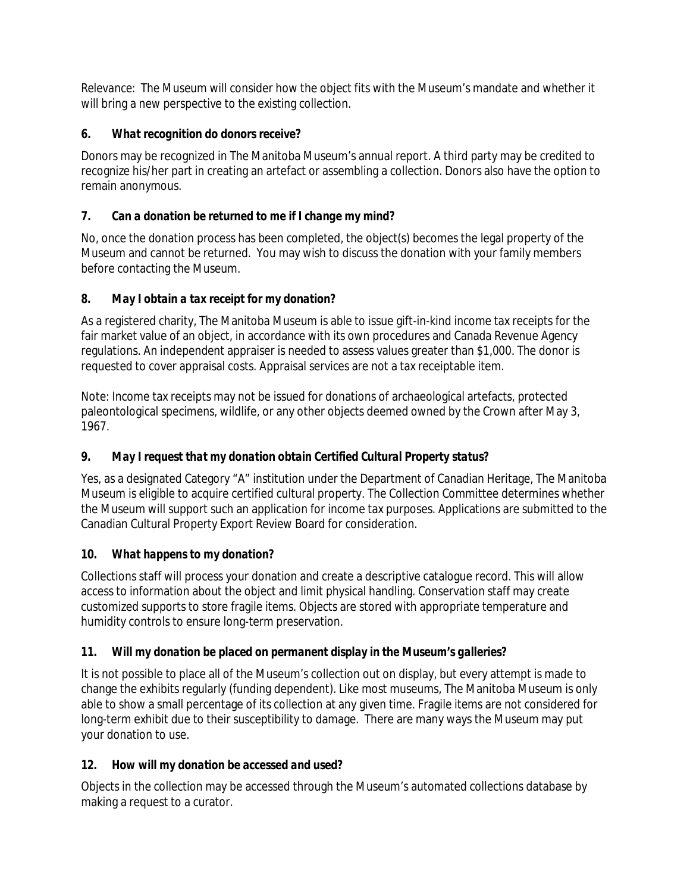*Relevance:* The Museum will consider how the object fits with the Museum's mandate and whether it will bring a new perspective to the existing collection.

### *6. What recognition do donors receive?*

Donors may be recognized in The Manitoba Museum's annual report. A third party may be credited to recognize his/her part in creating an artefact or assembling a collection. Donors also have the option to remain anonymous.

## *7. Can a donation be returned to me if I change my mind?*

No, once the donation process has been completed, the object(s) becomes the legal property of the Museum and cannot be returned. You may wish to discuss the donation with your family members before contacting the Museum.

#### *8. May I obtain a tax receipt for my donation?*

As a registered charity, The Manitoba Museum is able to issue gift-in-kind income tax receipts for the fair market value of an object, in accordance with its own procedures and Canada Revenue Agency regulations. An independent appraiser is needed to assess values greater than \$1,000. The donor is requested to cover appraisal costs. Appraisal services are not a tax receiptable item.

Note: Income tax receipts may not be issued for donations of archaeological artefacts, protected paleontological specimens, wildlife, or any other objects deemed owned by the Crown after May 3, 1967.

# *9. May I request that my donation obtain Certified Cultural Property status?*

Yes, as a designated Category "A" institution under the Department of Canadian Heritage, The Manitoba Museum is eligible to acquire certified cultural property. The Collection Committee determines whether the Museum will support such an application for income tax purposes. Applications are submitted to the Canadian Cultural Property Export Review Board for consideration.

# *10. What happens to my donation?*

Collections staff will process your donation and create a descriptive catalogue record. This will allow access to information about the object and limit physical handling. Conservation staff may create customized supports to store fragile items. Objects are stored with appropriate temperature and humidity controls to ensure long-term preservation.

# *11. Will my donation be placed on permanent display in the Museum's galleries?*

It is not possible to place all of the Museum's collection out on display, but every attempt is made to change the exhibits regularly (funding dependent). Like most museums, The Manitoba Museum is only able to show a small percentage of its collection at any given time. Fragile items are not considered for long-term exhibit due to their susceptibility to damage. There are many ways the Museum may put your donation to use.

# *12. How will my donation be accessed and used?*

Objects in the collection may be accessed through the Museum's automated collections database by making a request to a curator.